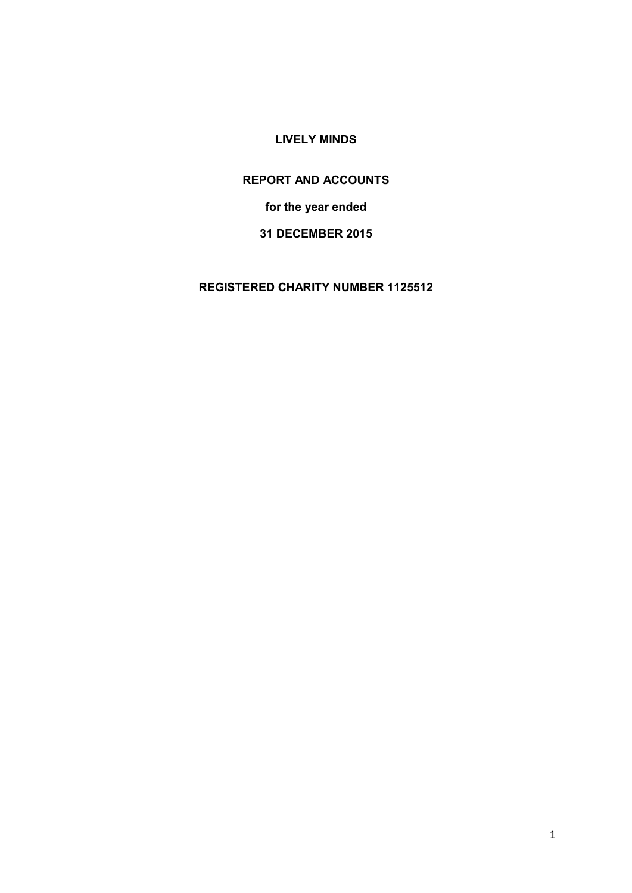# **LIVELY MINDS**

# **REPORT AND ACCOUNTS**

**for the year ended** 

# **31 DECEMBER 2015**

**REGISTERED CHARITY NUMBER 1125512**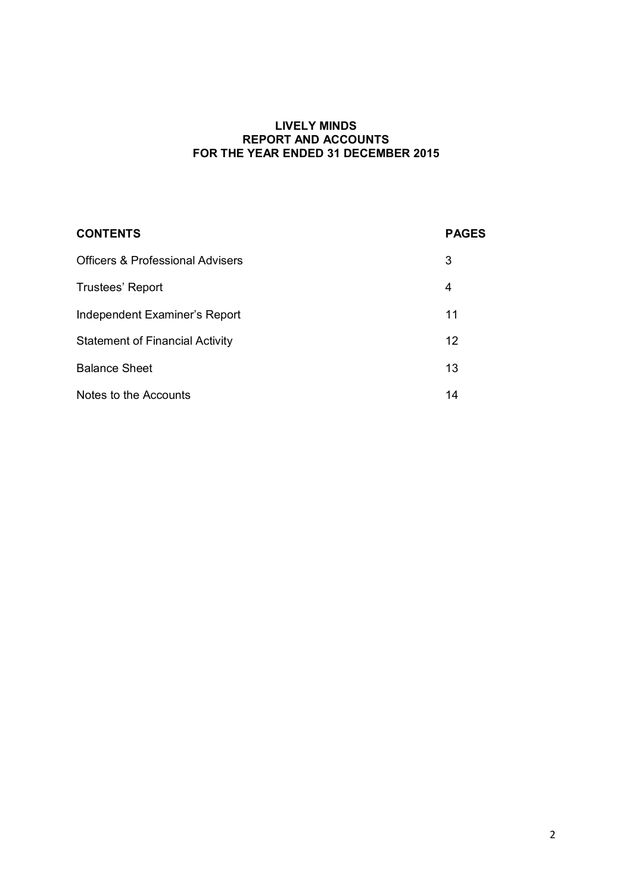#### **LIVELY MINDS REPORT AND ACCOUNTS FOR THE YEAR ENDED 31 DECEMBER 2015**

| <b>CONTENTS</b>                             | <b>PAGES</b> |
|---------------------------------------------|--------------|
| <b>Officers &amp; Professional Advisers</b> | 3            |
| Trustees' Report                            | 4            |
| Independent Examiner's Report               | 11           |
| <b>Statement of Financial Activity</b>      | 12           |
| <b>Balance Sheet</b>                        | 13           |
| Notes to the Accounts                       | 14           |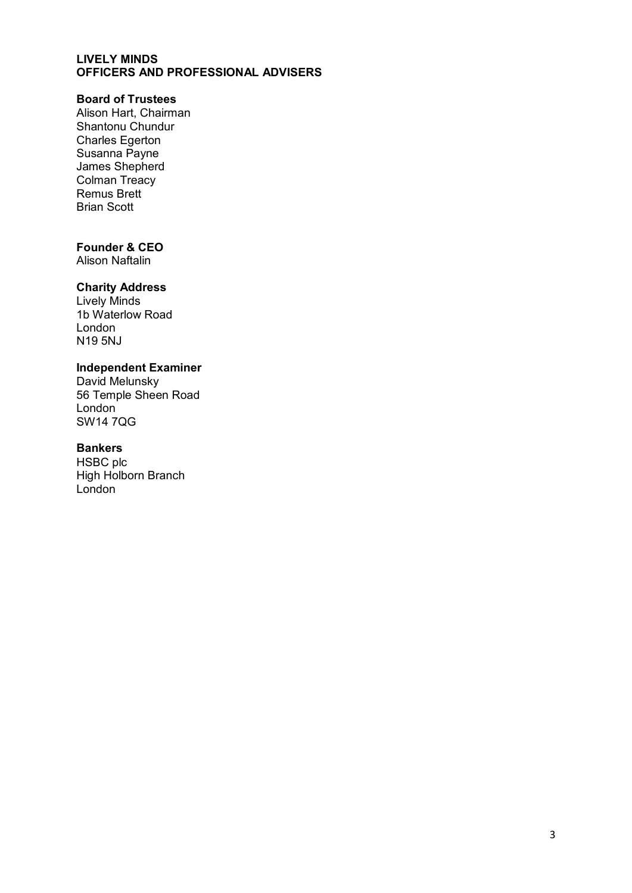#### **LIVELY MINDS OFFICERS AND PROFESSIONAL ADVISERS**

# **Board of Trustees**

Alison Hart, Chairman Shantonu Chundur Charles Egerton Susanna Payne James Shepherd Colman Treacy Remus Brett Brian Scott

# **Founder & CEO**

Alison Naftalin

### **Charity Address**

Lively Minds 1b Waterlow Road London N19 5NJ

## **Independent Examiner**

David Melunsky 56 Temple Sheen Road London SW14 7QG

#### **Bankers**

HSBC plc High Holborn Branch London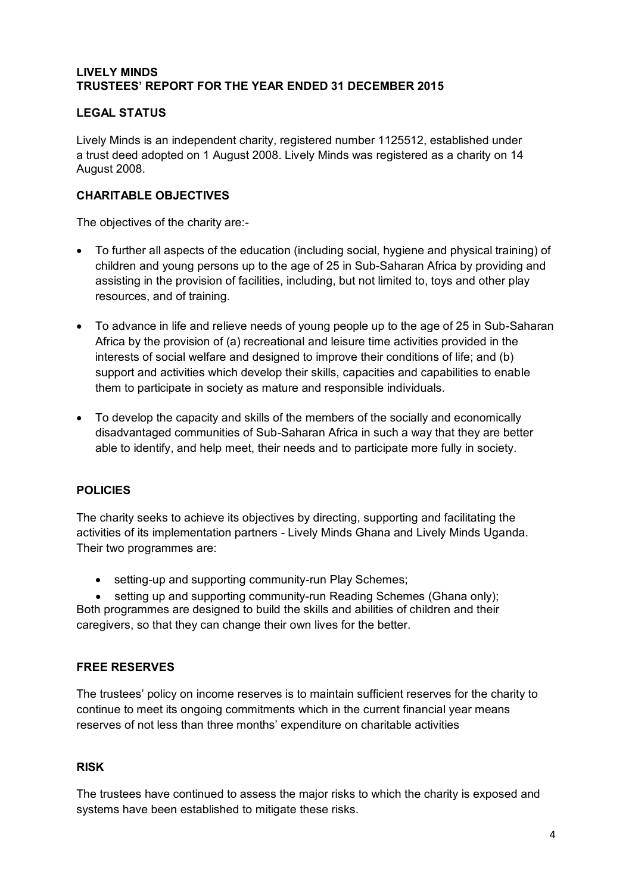# **LIVELY MINDS TRUSTEES' REPORT FOR THE YEAR ENDED 31 DECEMBER 2015**

# **LEGAL STATUS**

Lively Minds is an independent charity, registered number 1125512, established under a trust deed adopted on 1 August 2008. Lively Minds was registered as a charity on 14 August 2008.

# **CHARITABLE OBJECTIVES**

The objectives of the charity are:-

- To further all aspects of the education (including social, hygiene and physical training) of children and young persons up to the age of 25 in Sub-Saharan Africa by providing and assisting in the provision of facilities, including, but not limited to, toys and other play resources, and of training.
- To advance in life and relieve needs of young people up to the age of 25 in Sub-Saharan Africa by the provision of (a) recreational and leisure time activities provided in the interests of social welfare and designed to improve their conditions of life; and (b) support and activities which develop their skills, capacities and capabilities to enable them to participate in society as mature and responsible individuals.
- To develop the capacity and skills of the members of the socially and economically disadvantaged communities of Sub-Saharan Africa in such a way that they are better able to identify, and help meet, their needs and to participate more fully in society.

# **POLICIES**

The charity seeks to achieve its objectives by directing, supporting and facilitating the activities of its implementation partners - Lively Minds Ghana and Lively Minds Uganda. Their two programmes are:

• setting-up and supporting community-run Play Schemes;

setting up and supporting community-run Reading Schemes (Ghana only); Both programmes are designed to build the skills and abilities of children and their caregivers, so that they can change their own lives for the better.

# **FREE RESERVES**

The trustees' policy on income reserves is to maintain sufficient reserves for the charity to continue to meet its ongoing commitments which in the current financial year means reserves of not less than three months' expenditure on charitable activities

# **RISK**

The trustees have continued to assess the major risks to which the charity is exposed and systems have been established to mitigate these risks.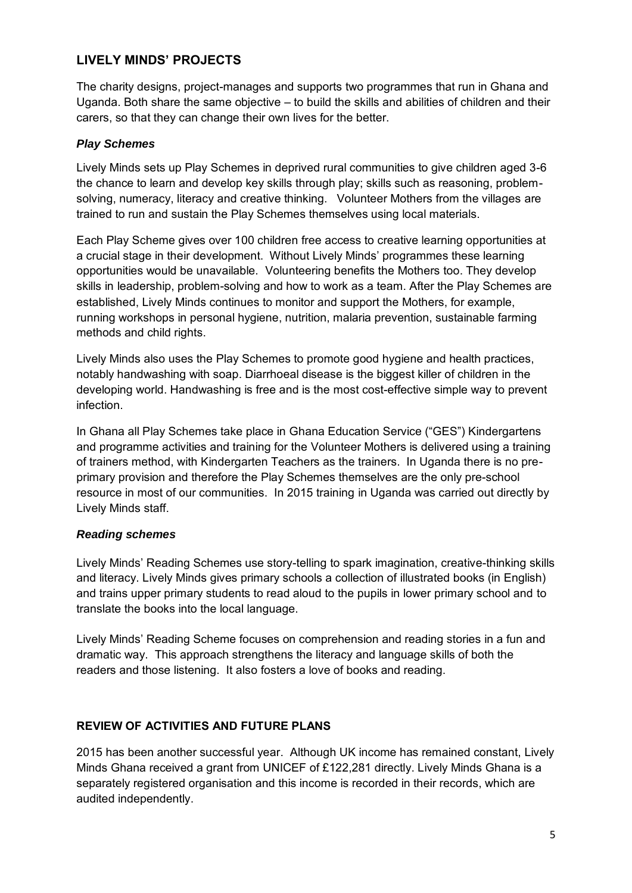# **LIVELY MINDS' PROJECTS**

The charity designs, project-manages and supports two programmes that run in Ghana and Uganda. Both share the same objective – to build the skills and abilities of children and their carers, so that they can change their own lives for the better.

# *Play Schemes*

Lively Minds sets up Play Schemes in deprived rural communities to give children aged 3-6 the chance to learn and develop key skills through play; skills such as reasoning, problemsolving, numeracy, literacy and creative thinking. Volunteer Mothers from the villages are trained to run and sustain the Play Schemes themselves using local materials.

Each Play Scheme gives over 100 children free access to creative learning opportunities at a crucial stage in their development. Without Lively Minds' programmes these learning opportunities would be unavailable. Volunteering benefits the Mothers too. They develop skills in leadership, problem-solving and how to work as a team. After the Play Schemes are established, Lively Minds continues to monitor and support the Mothers, for example, running workshops in personal hygiene, nutrition, malaria prevention, sustainable farming methods and child rights.

Lively Minds also uses the Play Schemes to promote good hygiene and health practices, notably handwashing with soap. Diarrhoeal disease is the biggest killer of children in the developing world. Handwashing is free and is the most cost-effective simple way to prevent infection.

In Ghana all Play Schemes take place in Ghana Education Service ("GES") Kindergartens and programme activities and training for the Volunteer Mothers is delivered using a training of trainers method, with Kindergarten Teachers as the trainers. In Uganda there is no preprimary provision and therefore the Play Schemes themselves are the only pre-school resource in most of our communities. In 2015 training in Uganda was carried out directly by Lively Minds staff.

# *Reading schemes*

Lively Minds' Reading Schemes use story-telling to spark imagination, creative-thinking skills and literacy. Lively Minds gives primary schools a collection of illustrated books (in English) and trains upper primary students to read aloud to the pupils in lower primary school and to translate the books into the local language.

Lively Minds' Reading Scheme focuses on comprehension and reading stories in a fun and dramatic way. This approach strengthens the literacy and language skills of both the readers and those listening. It also fosters a love of books and reading.

# **REVIEW OF ACTIVITIES AND FUTURE PLANS**

2015 has been another successful year. Although UK income has remained constant, Lively Minds Ghana received a grant from UNICEF of £122,281 directly. Lively Minds Ghana is a separately registered organisation and this income is recorded in their records, which are audited independently.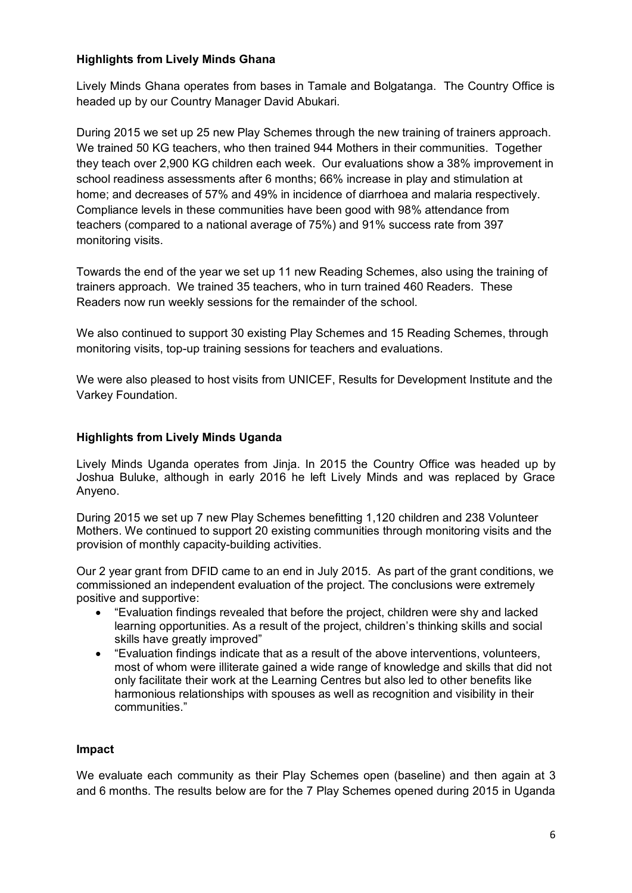# **Highlights from Lively Minds Ghana**

Lively Minds Ghana operates from bases in Tamale and Bolgatanga. The Country Office is headed up by our Country Manager David Abukari.

During 2015 we set up 25 new Play Schemes through the new training of trainers approach. We trained 50 KG teachers, who then trained 944 Mothers in their communities. Together they teach over 2,900 KG children each week. Our evaluations show a 38% improvement in school readiness assessments after 6 months; 66% increase in play and stimulation at home; and decreases of 57% and 49% in incidence of diarrhoea and malaria respectively. Compliance levels in these communities have been good with 98% attendance from teachers (compared to a national average of 75%) and 91% success rate from 397 monitoring visits.

Towards the end of the year we set up 11 new Reading Schemes, also using the training of trainers approach. We trained 35 teachers, who in turn trained 460 Readers. These Readers now run weekly sessions for the remainder of the school.

We also continued to support 30 existing Play Schemes and 15 Reading Schemes, through monitoring visits, top-up training sessions for teachers and evaluations.

We were also pleased to host visits from UNICEF, Results for Development Institute and the Varkey Foundation.

#### **Highlights from Lively Minds Uganda**

Lively Minds Uganda operates from Jinja. In 2015 the Country Office was headed up by Joshua Buluke, although in early 2016 he left Lively Minds and was replaced by Grace Anyeno.

During 2015 we set up 7 new Play Schemes benefitting 1,120 children and 238 Volunteer Mothers. We continued to support 20 existing communities through monitoring visits and the provision of monthly capacity-building activities.

Our 2 year grant from DFID came to an end in July 2015. As part of the grant conditions, we commissioned an independent evaluation of the project. The conclusions were extremely positive and supportive:

- "Evaluation findings revealed that before the project, children were shy and lacked learning opportunities. As a result of the project, children's thinking skills and social skills have greatly improved"
- "Evaluation findings indicate that as a result of the above interventions, volunteers, most of whom were illiterate gained a wide range of knowledge and skills that did not only facilitate their work at the Learning Centres but also led to other benefits like harmonious relationships with spouses as well as recognition and visibility in their communities."

#### **Impact**

We evaluate each community as their Play Schemes open (baseline) and then again at 3 and 6 months. The results below are for the 7 Play Schemes opened during 2015 in Uganda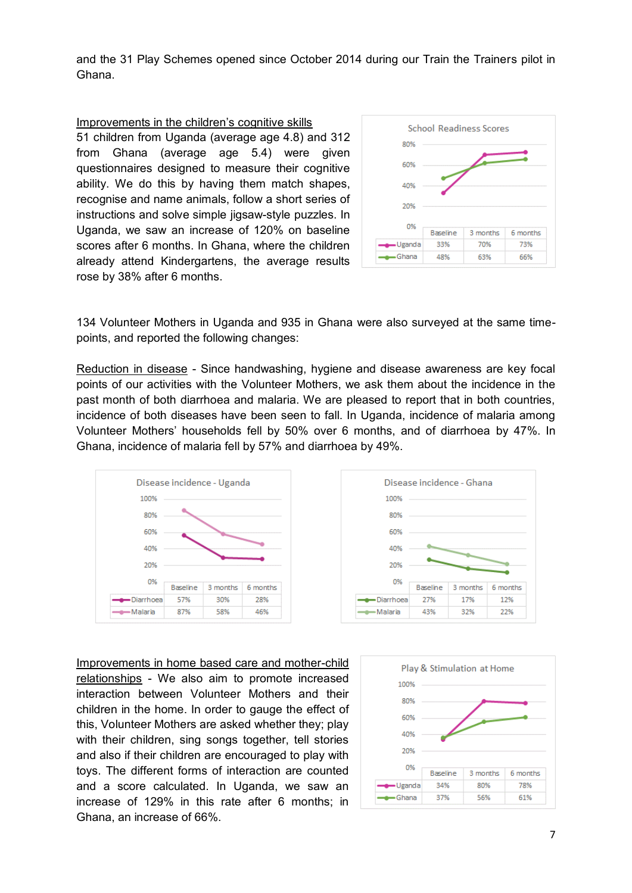and the 31 Play Schemes opened since October 2014 during our Train the Trainers pilot in Ghana.

#### Improvements in the children's cognitive skills

51 children from Uganda (average age 4.8) and 312 from Ghana (average age 5.4) were given questionnaires designed to measure their cognitive ability. We do this by having them match shapes, recognise and name animals, follow a short series of instructions and solve simple jigsaw-style puzzles. In Uganda, we saw an increase of 120% on baseline scores after 6 months. In Ghana, where the children already attend Kindergartens, the average results rose by 38% after 6 months.



134 Volunteer Mothers in Uganda and 935 in Ghana were also surveyed at the same timepoints, and reported the following changes:

Reduction in disease - Since handwashing, hygiene and disease awareness are key focal points of our activities with the Volunteer Mothers, we ask them about the incidence in the past month of both diarrhoea and malaria. We are pleased to report that in both countries, incidence of both diseases have been seen to fall. In Uganda, incidence of malaria among Volunteer Mothers' households fell by 50% over 6 months, and of diarrhoea by 47%. In Ghana, incidence of malaria fell by 57% and diarrhoea by 49%.





Improvements in home based care and mother-child relationships - We also aim to promote increased interaction between Volunteer Mothers and their children in the home. In order to gauge the effect of this, Volunteer Mothers are asked whether they; play with their children, sing songs together, tell stories and also if their children are encouraged to play with toys. The different forms of interaction are counted and a score calculated. In Uganda, we saw an increase of 129% in this rate after 6 months; in Ghana, an increase of 66%.

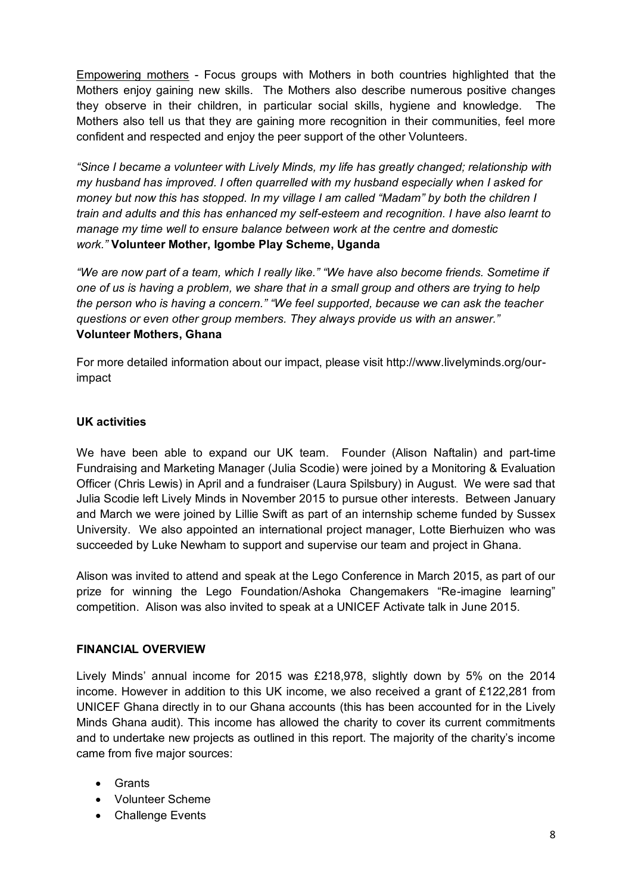Empowering mothers - Focus groups with Mothers in both countries highlighted that the Mothers enjoy gaining new skills. The Mothers also describe numerous positive changes they observe in their children, in particular social skills, hygiene and knowledge. The Mothers also tell us that they are gaining more recognition in their communities, feel more confident and respected and enjoy the peer support of the other Volunteers.

*"Since I became a volunteer with Lively Minds, my life has greatly changed; relationship with my husband has improved. I often quarrelled with my husband especially when I asked for money but now this has stopped. In my village I am called "Madam" by both the children I train and adults and this has enhanced my self-esteem and recognition. I have also learnt to manage my time well to ensure balance between work at the centre and domestic work."* **Volunteer Mother, Igombe Play Scheme, Uganda**

*"We are now part of a team, which I really like." "We have also become friends. Sometime if one of us is having a problem, we share that in a small group and others are trying to help the person who is having a concern." "We feel supported, because we can ask the teacher questions or even other group members. They always provide us with an answer."* **Volunteer Mothers, Ghana**

For more detailed information about our impact, please visit http://www.livelyminds.org/ourimpact

### **UK activities**

We have been able to expand our UK team. Founder (Alison Naftalin) and part-time Fundraising and Marketing Manager (Julia Scodie) were joined by a Monitoring & Evaluation Officer (Chris Lewis) in April and a fundraiser (Laura Spilsbury) in August. We were sad that Julia Scodie left Lively Minds in November 2015 to pursue other interests. Between January and March we were joined by Lillie Swift as part of an internship scheme funded by Sussex University. We also appointed an international project manager, Lotte Bierhuizen who was succeeded by Luke Newham to support and supervise our team and project in Ghana.

Alison was invited to attend and speak at the Lego Conference in March 2015, as part of our prize for winning the Lego Foundation/Ashoka Changemakers "Re-imagine learning" competition. Alison was also invited to speak at a UNICEF Activate talk in June 2015.

#### **FINANCIAL OVERVIEW**

Lively Minds' annual income for 2015 was £218,978, slightly down by 5% on the 2014 income. However in addition to this UK income, we also received a grant of £122,281 from UNICEF Ghana directly in to our Ghana accounts (this has been accounted for in the Lively Minds Ghana audit). This income has allowed the charity to cover its current commitments and to undertake new projects as outlined in this report. The majority of the charity's income came from five major sources:

- Grants
- Volunteer Scheme
- Challenge Events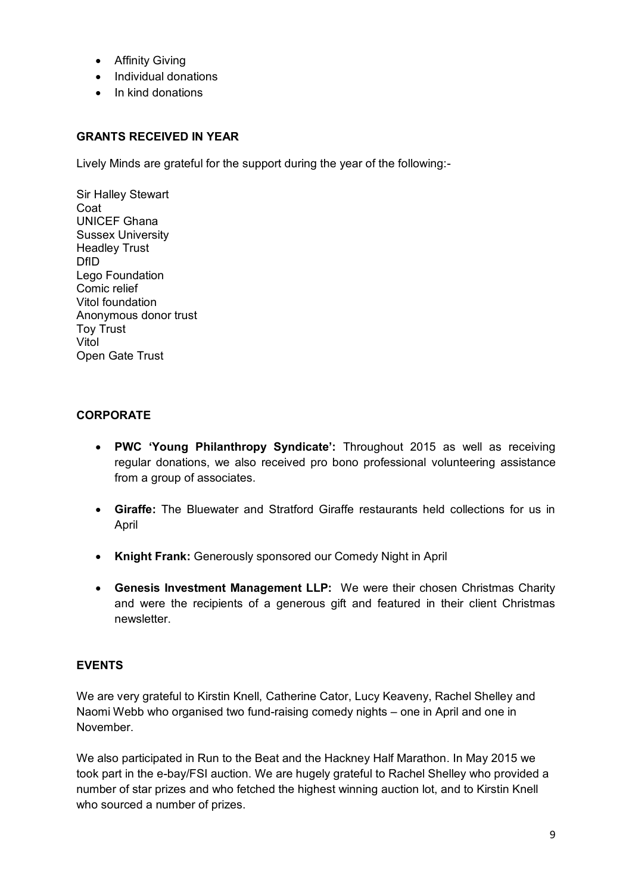- **•** Affinity Giving
- Individual donations
- In kind donations

## **GRANTS RECEIVED IN YEAR**

Lively Minds are grateful for the support during the year of the following:-

Sir Halley Stewart Coat UNICEF Ghana Sussex University Headley Trust DfID Lego Foundation Comic relief Vitol foundation Anonymous donor trust Toy Trust Vitol Open Gate Trust

### **CORPORATE**

- **PWC 'Young Philanthropy Syndicate':** Throughout 2015 as well as receiving regular donations, we also received pro bono professional volunteering assistance from a group of associates.
- **Giraffe:** The Bluewater and Stratford Giraffe restaurants held collections for us in April
- **Knight Frank:** Generously sponsored our Comedy Night in April
- **Genesis Investment Management LLP:** We were their chosen Christmas Charity and were the recipients of a generous gift and featured in their client Christmas newsletter.

# **EVENTS**

We are very grateful to Kirstin Knell, Catherine Cator, Lucy Keaveny, Rachel Shelley and Naomi Webb who organised two fund-raising comedy nights – one in April and one in November.

We also participated in Run to the Beat and the Hackney Half Marathon. In May 2015 we took part in the e-bay/FSI auction. We are hugely grateful to Rachel Shelley who provided a number of star prizes and who fetched the highest winning auction lot, and to Kirstin Knell who sourced a number of prizes.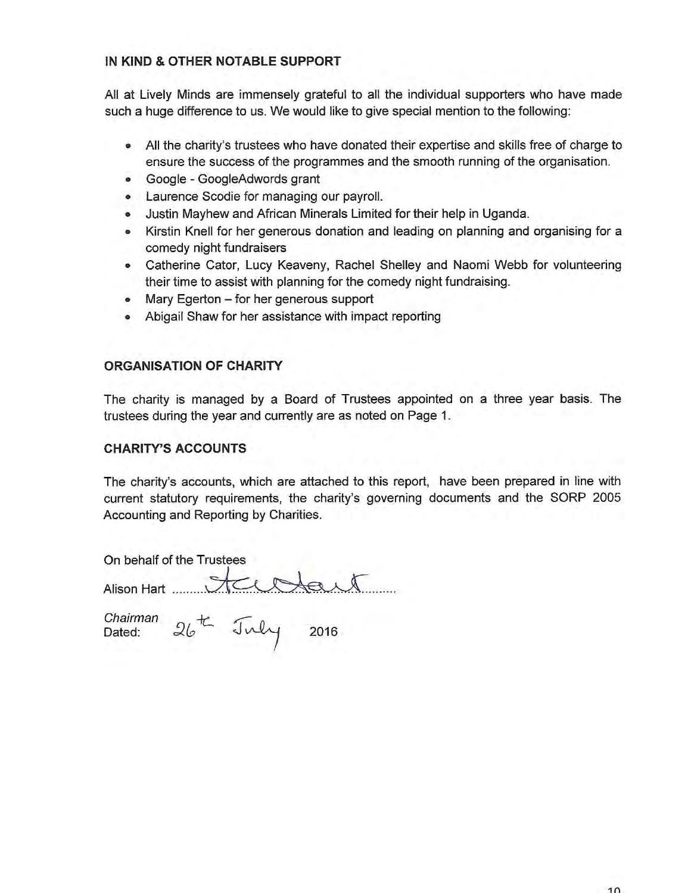### IN KIND & OTHER NOTABLE SUPPORT

All at Lively Minds are immensely grateful to all the individual supporters who have made such a huge difference to us. We would like to give special mention to the following:

- All the charity's trustees who have donated their expertise and skills free of charge to ensure the success of the programmes and the smooth running of the organisation.
- Google GoogleAdwords grant
- Laurence Scodie for managing our payroll.
- Justin Mayhew and African Minerals Limited for their help in Uganda.
- Kirstin Knell for her generous donation and leading on planning and organising for a comedy night fundraisers
- Catherine Cator, Lucy Keaveny, Rachel Shelley and Naomi Webb for volunteering their time to assist with planning for the comedy night fundraising.
- Mary Egerton for her generous support
- Abigail Shaw for her assistance with impact reporting

### **ORGANISATION OF CHARITY**

The charity is managed by a Board of Trustees appointed on a three year basis. The trustees during the year and currently are as noted on Page 1.

#### **CHARITY'S ACCOUNTS**

The charity's accounts, which are attached to this report, have been prepared in line with current statutory requirements, the charity's governing documents and the SORP 2005 Accounting and Reporting by Charities.

On behalf of the Trustees

Alison Hart 100 Mart

Chairman  $26$ <sup>th</sup> July 2016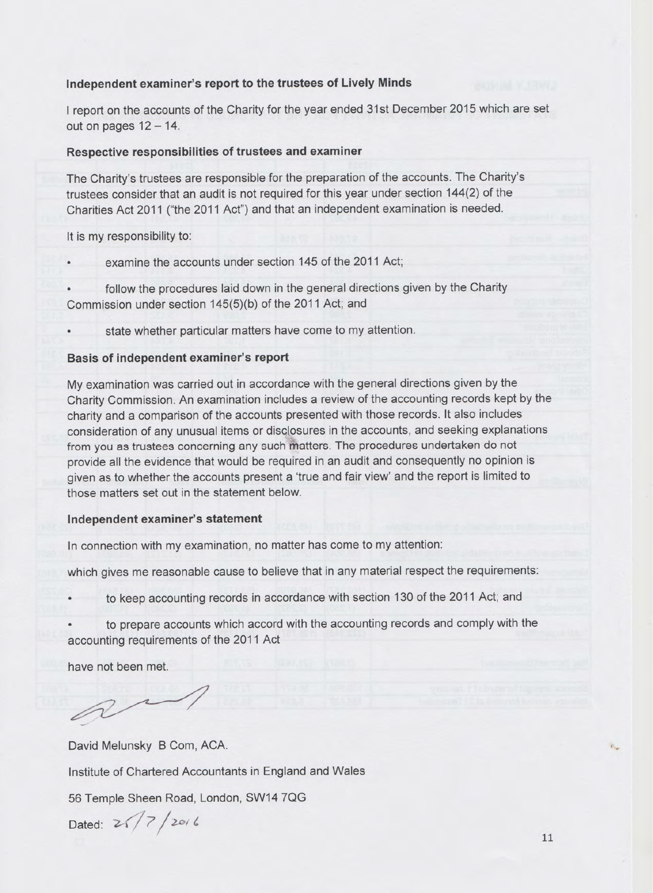#### Independent examiner's report to the trustees of Lively Minds

I report on the accounts of the Charity for the year ended 31st December 2015 which are set out on pages  $12 - 14$ .

#### Respective responsibilities of trustees and examiner

The Charity's trustees are responsible for the preparation of the accounts. The Charity's trustees consider that an audit is not required for this year under section 144(2) of the Charities Act 2011 ("the 2011 Act") and that an independent examination is needed.

#### It is my responsibility to:

examine the accounts under section 145 of the 2011 Act;

follow the procedures laid down in the general directions given by the Charity Commission under section 145(5)(b) of the 2011 Act; and

state whether particular matters have come to my attention.

#### Basis of independent examiner's report

My examination was carried out in accordance with the general directions given by the Charity Commission. An examination includes a review of the accounting records kept by the charity and a comparison of the accounts presented with those records. It also includes consideration of any unusual items or disclosures in the accounts, and seeking explanations from you as trustees concerning any such matters. The procedures undertaken do not provide all the evidence that would be required in an audit and consequently no opinion is given as to whether the accounts present a 'true and fair view' and the report is limited to those matters set out in the statement below.

#### Independent examiner's statement

In connection with my examination, no matter has come to my attention:

which gives me reasonable cause to believe that in any material respect the requirements:

to keep accounting records in accordance with section 130 of the 2011 Act; and

to prepare accounts which accord with the accounting records and comply with the accounting requirements of the 2011 Act

have not been met.

David Melunsky B Com, ACA. Institute of Chartered Accountants in England and Wales 56 Temple Sheen Road, London, SW14 7QG Dated:  $2\sqrt{7}/2016$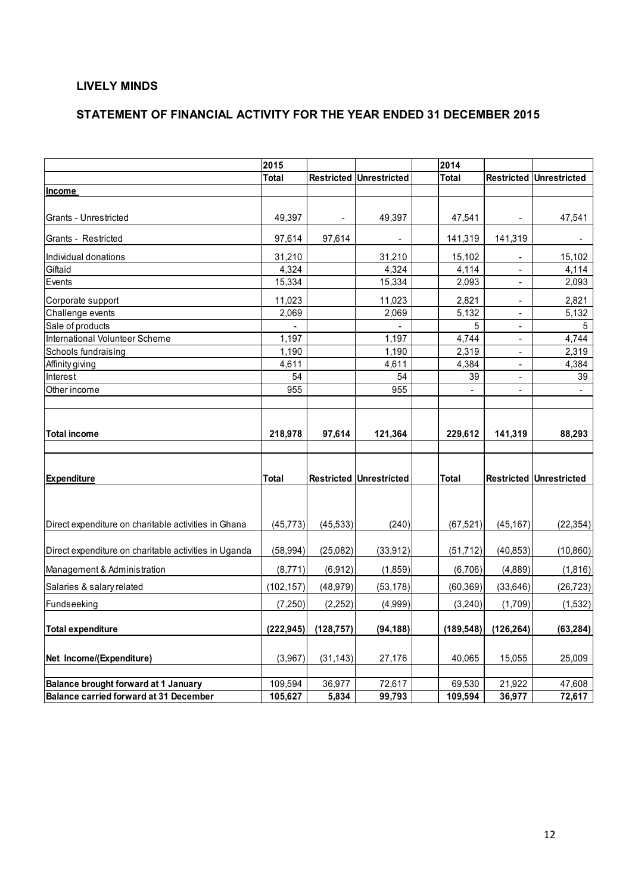## **LIVELY MINDS**

# **STATEMENT OF FINANCIAL ACTIVITY FOR THE YEAR ENDED 31 DECEMBER 2015**

|                                                       | 2015         |                          |                                | 2014         |                          |                                |
|-------------------------------------------------------|--------------|--------------------------|--------------------------------|--------------|--------------------------|--------------------------------|
|                                                       | <b>Total</b> |                          | <b>Restricted Unrestricted</b> | <b>Total</b> |                          | <b>Restricted Unrestricted</b> |
| <b>Income</b>                                         |              |                          |                                |              |                          |                                |
|                                                       |              |                          |                                |              |                          |                                |
| Grants - Unrestricted                                 | 49,397       | $\overline{\phantom{a}}$ | 49,397                         | 47,541       | $\overline{\phantom{a}}$ | 47,541                         |
| Grants - Restricted                                   | 97,614       | 97,614                   |                                | 141,319      | 141,319                  |                                |
| Individual donations                                  | 31,210       |                          | 31,210                         | 15,102       |                          | 15,102                         |
| Giftaid                                               | 4,324        |                          | 4,324                          | 4,114        | $\blacksquare$           | 4,114                          |
| Events                                                | 15,334       |                          | 15,334                         | 2,093        | $\overline{\phantom{a}}$ | 2,093                          |
| Corporate support                                     | 11,023       |                          | 11,023                         | 2,821        | $\overline{a}$           | 2,821                          |
| Challenge events                                      | 2,069        |                          | 2,069                          | 5,132        | $\blacksquare$           | 5,132                          |
| Sale of products                                      |              |                          |                                | 5            | $\overline{a}$           | 5                              |
| International Volunteer Scheme                        | 1,197        |                          | 1,197                          | 4,744        | $\overline{\phantom{a}}$ | 4,744                          |
| Schools fundraising                                   | 1,190        |                          | 1,190                          | 2,319        | $\blacksquare$           | 2,319                          |
| Affinity giving                                       | 4,611        |                          | 4,611                          | 4,384        | $\overline{\phantom{a}}$ | 4,384                          |
| Interest                                              | 54           |                          | 54                             | 39           | $\overline{\phantom{a}}$ | 39                             |
| Other income                                          | 955          |                          | 955                            |              | $\blacksquare$           |                                |
| <b>Expenditure</b>                                    | Total        |                          | Restricted Unrestricted        | Total        |                          | <b>Restricted Unrestricted</b> |
| Direct expenditure on charitable activities in Ghana  | (45, 773)    | (45, 533)                | (240)                          | (67, 521)    | (45, 167)                | (22, 354)                      |
| Direct expenditure on charitable activities in Uganda | (58, 994)    | (25,082)                 | (33, 912)                      | (51, 712)    | (40, 853)                | (10, 860)                      |
| Management & Administration                           | (8,771)      | (6, 912)                 | (1,859)                        | (6,706)      | (4,889)                  | (1,816)                        |
| Salaries & salary related                             | (102, 157)   | (48, 979)                | (53, 178)                      | (60, 369)    | (33, 646)                | (26, 723)                      |
| Fundseeking                                           | (7,250)      | (2, 252)                 | (4,999)                        | (3, 240)     | (1,709)                  | (1,532)                        |
| <b>Total expenditure</b>                              | (222, 945)   | (128, 757)               | (94, 188)                      | (189, 548)   | (126, 264)               | (63, 284)                      |
| Net Income/(Expenditure)                              | (3,967)      | (31, 143)                | 27,176                         | 40,065       | 15,055                   | 25,009                         |
| Balance brought forward at 1 January                  | 109,594      | 36,977                   | 72,617                         | 69,530       | 21,922                   | 47,608                         |
| <b>Balance carried forward at 31 December</b>         | 105,627      | 5,834                    | 99,793                         | 109,594      | 36,977                   | 72,617                         |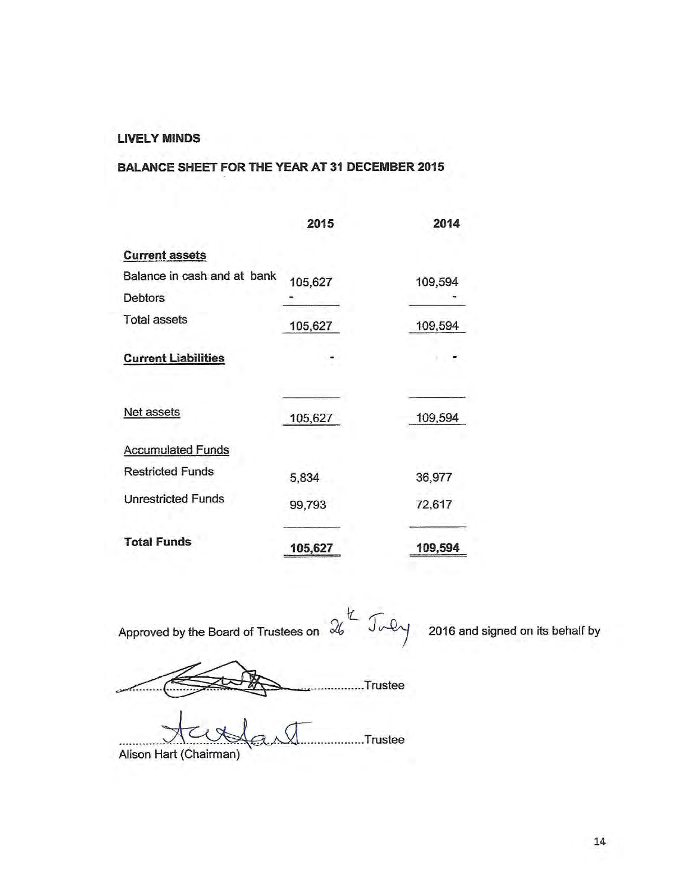#### **LIVELY MINDS**

# **BALANCE SHEET FOR THE YEAR AT 31 DECEMBER 2015**

|                             | 2015    | 2014    |
|-----------------------------|---------|---------|
| <b>Current assets</b>       |         |         |
| Balance in cash and at bank | 105,627 | 109,594 |
| <b>Debtors</b>              |         |         |
| <b>Total assets</b>         | 105,627 | 109,594 |
| <b>Current Liabilities</b>  |         |         |
| Net assets                  | 105,627 | 109,594 |
| <b>Accumulated Funds</b>    |         |         |
| <b>Restricted Funds</b>     | 5,834   | 36,977  |
| <b>Unrestricted Funds</b>   | 99,793  | 72,617  |
| <b>Total Funds</b>          | 105,627 | 109,594 |

ヒ Approved by the Board of Trustees on  $\mathcal{U}$ 

2016 and signed on its behalf by

...............Trustee

 $J_{V}$ 

........Trustee Alison Hart (Chairman)